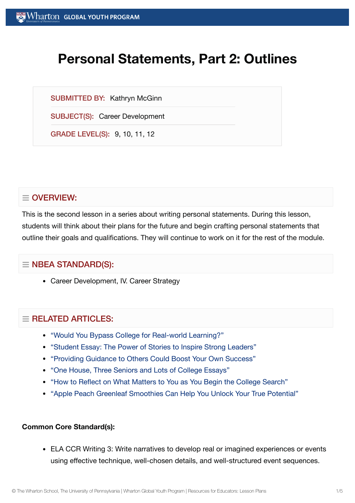# **Personal Statements, Part 2: Outlines**

SUBMITTED BY: Kathryn McGinn

SUBJECT(S): Career Development

GRADE LEVEL(S): 9, 10, 11, 12

# $\equiv$  OVERVIEW:

This is the second lesson in a series about writing personal statements. During this lesson, students will think about their plans for the future and begin crafting personal statements that outline their goals and qualifications. They will continue to work on it for the rest of the module.

## $\equiv$  NBEA STANDARD(S):

Career Development, IV. Career Strategy

## $=$  RFI ATED ARTICLES:

- "Would You [Bypass College](https://globalyouth.wharton.upenn.edu/articles/bypass-college-for-real-world-learning/) for Real-world Learning?"
- "Student Essay: The Power of [Stories to](https://globalyouth.wharton.upenn.edu/articles/student-essay-power-stories-inspire-strong-leaders/) Inspire Strong Leaders"
- "Providing Guidance to [Others Could](https://globalyouth.wharton.upenn.edu/articles/share-guidance-boost-success/) Boost Your Own Success"
- "One House, Three [Seniors and](https://globalyouth.wharton.upenn.edu/articles/one-house-three-seniors-lots-college-essays/) Lots of College Essays"
- "How to Reflect on What [Matters to](https://globalyouth.wharton.upenn.edu/articles/how-to-reflect-on-what-matters-to-you-as-begin-college-search/) You as You Begin the College Search"
- "Apple Peach Greenleaf [Smoothies Can](https://globalyouth.wharton.upenn.edu/articles/apple-peach-greenleaf-smoothies-can-help-unlock-true-potential/) Help You Unlock Your True Potential"

#### **Common Core Standard(s):**

ELA CCR Writing 3: Write narratives to develop real or imagined experiences or events using effective technique, well-chosen details, and well-structured event sequences.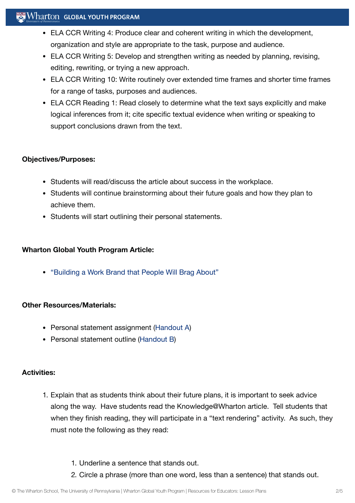## $\mathbb{R}^n$  Wharton Global Youth Program

- ELA CCR Writing 4: Produce clear and coherent writing in which the development, organization and style are appropriate to the task, purpose and audience.
- ELA CCR Writing 5: Develop and strengthen writing as needed by planning, revising, editing, rewriting, or trying a new approach.
- ELA CCR Writing 10: Write routinely over extended time frames and shorter time frames for a range of tasks, purposes and audiences.
- ELA CCR Reading 1: Read closely to determine what the text says explicitly and make logical inferences from it; cite specific textual evidence when writing or speaking to support conclusions drawn from the text.

## **Objectives/Purposes:**

- Students will read/discuss the article about success in the workplace.
- Students will continue brainstorming about their future goals and how they plan to achieve them.
- Students will start outlining their personal statements.

#### **Wharton Global Youth Program Article:**

["Building](https://globalyouth.wharton.upenn.edu/articles/a-work-brand-people-will-brag-about/) a Work Brand that People Will Brag About"

#### **Other Resources/Materials:**

- Personal statement assignment [\(Handout](https://globalyouth.wharton.upenn.edu/wp-content/uploads/2012/01/Career-Development-16_Caree.handoutA.pdf) A)
- Personal statement outline [\(Handout](https://globalyouth.wharton.upenn.edu/wp-content/uploads/2012/01/Career-Development-16_Caree.handoutB.pdf) B)

#### **Activities:**

- 1. Explain that as students think about their future plans, it is important to seek advice along the way. Have students read the Knowledge@Wharton article. Tell students that when they finish reading, they will participate in a "text rendering" activity. As such, they must note the following as they read:
	- 1. Underline a sentence that stands out.
	- 2. Circle a phrase (more than one word, less than a sentence) that stands out.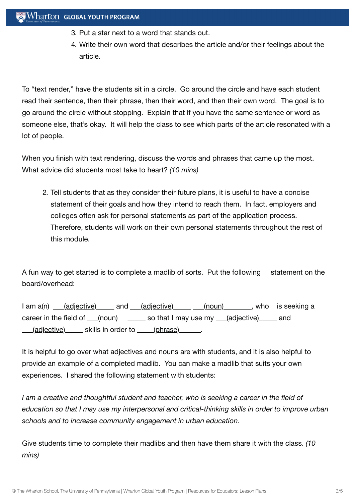- 3. Put a star next to a word that stands out.
- 4. Write their own word that describes the article and/or their feelings about the article.

To "text render," have the students sit in a circle. Go around the circle and have each student read their sentence, then their phrase, then their word, and then their own word. The goal is to go around the circle without stopping. Explain that if you have the same sentence or word as someone else, that's okay. It will help the class to see which parts of the article resonated with a lot of people.

When you finish with text rendering, discuss the words and phrases that came up the most. What advice did students most take to heart? *(10 mins)*

2. Tell students that as they consider their future plans, it is useful to have a concise statement of their goals and how they intend to reach them. In fact, employers and colleges often ask for personal statements as part of the application process. Therefore, students will work on their own personal statements throughout the rest of this module.

A fun way to get started is to complete a madlib of sorts. Put the following statement on the board/overhead:

I am a(n) \_\_\_(adjective) \_\_\_\_\_ and \_\_\_(adjective) \_\_\_\_\_ (noun) \_\_\_\_\_\_, who is seeking a career in the field of  $(noun)$  so that I may use my  $(a*d*jective)$  and \_\_\_(adjective)\_\_\_\_\_ skills in order to \_\_\_\_ (phrase)\_\_\_\_\_\_.

It is helpful to go over what adjectives and nouns are with students, and it is also helpful to provide an example of a completed madlib. You can make a madlib that suits your own experiences. I shared the following statement with students:

*I am a creative and thoughtful student and teacher, who is seeking a career in the field of education so that I may use my interpersonal and critical-thinking skills in order to improve urban schools and to increase community engagement in urban education.*

Give students time to complete their madlibs and then have them share it with the class. *(10 mins)*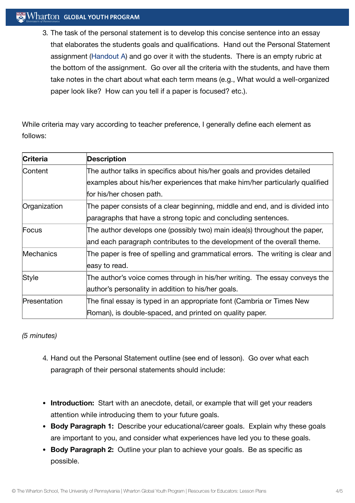## **Wharton GLOBAL YOUTH PROGRAM**

3. The task of the personal statement is to develop this concise sentence into an essay that elaborates the students goals and qualifications. Hand out the Personal Statement assignment [\(Handout](https://globalyouth.wharton.upenn.edu/wp-content/uploads/2012/01/Career-Development-16_Caree.handoutA.pdf) A) and go over it with the students. There is an empty rubric at the bottom of the assignment. Go over all the criteria with the students, and have them take notes in the chart about what each term means (e.g., What would a well-organized paper look like? How can you tell if a paper is focused? etc.).

While criteria may vary according to teacher preference, I generally define each element as follows:

| <b>Criteria</b>  | <b>Description</b>                                                             |
|------------------|--------------------------------------------------------------------------------|
| Content          | The author talks in specifics about his/her goals and provides detailed        |
|                  | examples about his/her experiences that make him/her particularly qualified    |
|                  | for his/her chosen path.                                                       |
| Organization     | The paper consists of a clear beginning, middle and end, and is divided into   |
|                  | paragraphs that have a strong topic and concluding sentences.                  |
| Focus            | The author develops one (possibly two) main idea(s) throughout the paper,      |
|                  | and each paragraph contributes to the development of the overall theme.        |
| <b>Mechanics</b> | The paper is free of spelling and grammatical errors. The writing is clear and |
|                  | easy to read.                                                                  |
| <b>Style</b>     | The author's voice comes through in his/her writing. The essay conveys the     |
|                  | author's personality in addition to his/her goals.                             |
| Presentation     | The final essay is typed in an appropriate font (Cambria or Times New          |
|                  | Roman), is double-spaced, and printed on quality paper.                        |

*(5 minutes)*

- 4. Hand out the Personal Statement outline (see end of lesson). Go over what each paragraph of their personal statements should include:
- **Introduction:** Start with an anecdote, detail, or example that will get your readers attention while introducing them to your future goals.
- **Body Paragraph 1:** Describe your educational/career goals. Explain why these goals are important to you, and consider what experiences have led you to these goals.
- **Body Paragraph 2:** Outline your plan to achieve your goals. Be as specific as possible.